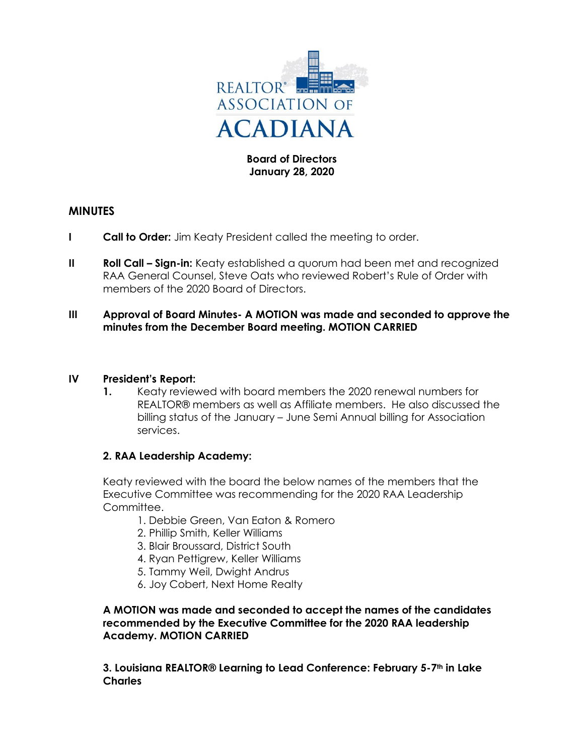

## **Board of Directors January 28, 2020**

# **MINUTES**

- **I Call to Order:** Jim Keaty President called the meeting to order.
- **II Roll Call Sign-in:** Keaty established a quorum had been met and recognized RAA General Counsel, Steve Oats who reviewed Robert's Rule of Order with members of the 2020 Board of Directors.
- **III Approval of Board Minutes- A MOTION was made and seconded to approve the minutes from the December Board meeting. MOTION CARRIED**

### **IV President's Report:**

**1.** Keaty reviewed with board members the 2020 renewal numbers for REALTOR® members as well as Affiliate members. He also discussed the billing status of the January – June Semi Annual billing for Association services.

# **2. RAA Leadership Academy:**

Keaty reviewed with the board the below names of the members that the Executive Committee was recommending for the 2020 RAA Leadership Committee.

- 1. Debbie Green, Van Eaton & Romero
- 2. Phillip Smith, Keller Williams
- 3. Blair Broussard, District South
- 4. Ryan Pettigrew, Keller Williams
- 5. Tammy Weil, Dwight Andrus
- 6. Joy Cobert, Next Home Realty

**A MOTION was made and seconded to accept the names of the candidates recommended by the Executive Committee for the 2020 RAA leadership Academy. MOTION CARRIED**

**3. Louisiana REALTOR® Learning to Lead Conference: February 5-7th in Lake Charles**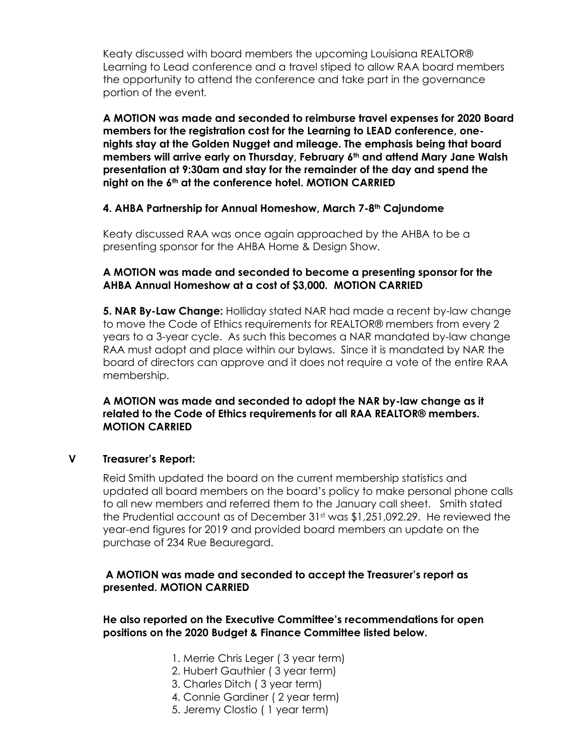Keaty discussed with board members the upcoming Louisiana REALTOR® Learning to Lead conference and a travel stiped to allow RAA board members the opportunity to attend the conference and take part in the governance portion of the event*.*

**A MOTION was made and seconded to reimburse travel expenses for 2020 Board members for the registration cost for the Learning to LEAD conference, onenights stay at the Golden Nugget and mileage. The emphasis being that board members will arrive early on Thursday, February 6th and attend Mary Jane Walsh presentation at 9:30am and stay for the remainder of the day and spend the night on the 6th at the conference hotel. MOTION CARRIED**

### **4. AHBA Partnership for Annual Homeshow, March 7-8th Cajundome**

Keaty discussed RAA was once again approached by the AHBA to be a presenting sponsor for the AHBA Home & Design Show.

## **A MOTION was made and seconded to become a presenting sponsor for the AHBA Annual Homeshow at a cost of \$3,000. MOTION CARRIED**

**5. NAR By-Law Change:** Holliday stated NAR had made a recent by-law change to move the Code of Ethics requirements for REALTOR® members from every 2 years to a 3-year cycle. As such this becomes a NAR mandated by-law change RAA must adopt and place within our bylaws. Since it is mandated by NAR the board of directors can approve and it does not require a vote of the entire RAA membership.

**A MOTION was made and seconded to adopt the NAR by-law change as it related to the Code of Ethics requirements for all RAA REALTOR® members. MOTION CARRIED**

### **V Treasurer's Report:**

Reid Smith updated the board on the current membership statistics and updated all board members on the board's policy to make personal phone calls to all new members and referred them to the January call sheet. Smith stated the Prudential account as of December 31st was \$1,251,092.29. He reviewed the year-end figures for 2019 and provided board members an update on the purchase of 234 Rue Beauregard.

# **A MOTION was made and seconded to accept the Treasurer's report as presented. MOTION CARRIED**

## **He also reported on the Executive Committee's recommendations for open positions on the 2020 Budget & Finance Committee listed below.**

- 1. Merrie Chris Leger ( 3 year term)
- 2. Hubert Gauthier ( 3 year term)
- 3. Charles Ditch ( 3 year term)
- 4. Connie Gardiner ( 2 year term)
- 5. Jeremy Clostio ( 1 year term)